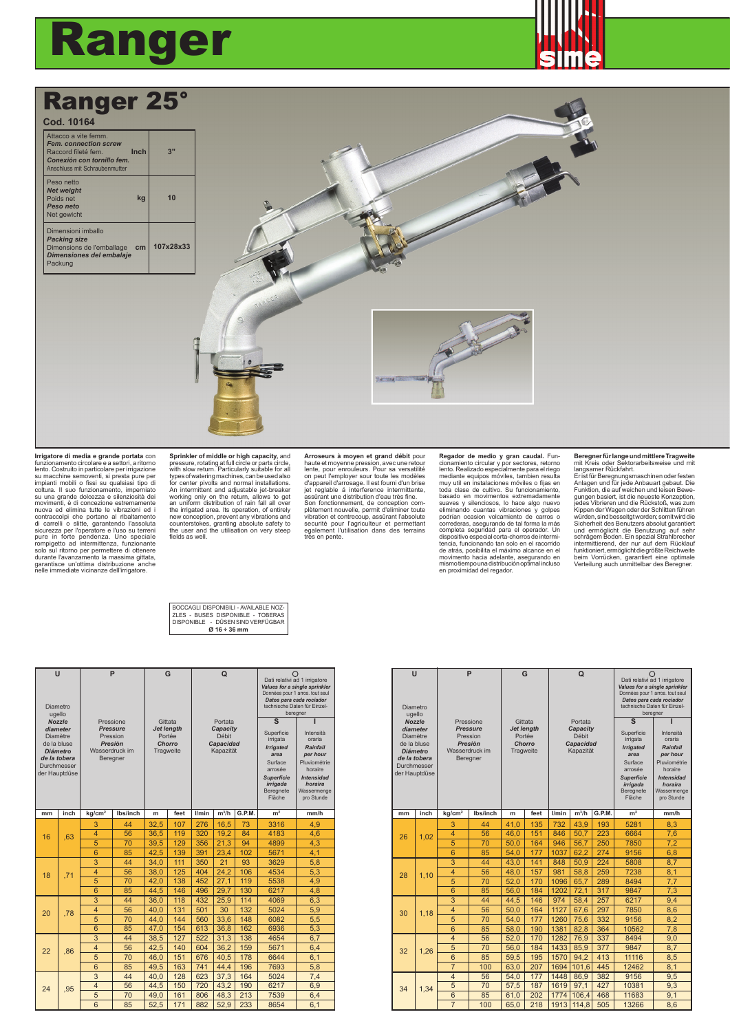## Ranger



## Ranger 25°

| Cod. 10164                                                                                                                                 |      |           |
|--------------------------------------------------------------------------------------------------------------------------------------------|------|-----------|
| Attacco a vite femm.<br><b>Fem. connection screw</b><br>Raccord fileté fem.<br>Conexión con tornillo fem.<br>Anschluss mit Schraubenmutter | Inch | 3"        |
| Peso netto<br><b>Net weight</b><br>Poids net<br>Peso neto<br>Net gewicht                                                                   | kg   | 10        |
| Dimensioni imballo<br><b>Packing size</b><br>Dimensions de l'emballage<br>Dimensiones del embalaje<br>Packung                              | cm   | 107x28x33 |



## **Irrigatore di media e grande portata** con funzionamento circolare e a settori, a ritorno lento. Costruito in particolare per irrigazione su macchine semoventi, si presta pure per impianti mobili o fissi su qualsiasi tipo di coltura. Il suo funzionamento, imperniato su una grande dolcezza e silenziosità dei movimenti, è di concezione estermamente<br>nuova ed elimina tutte le vibrazioni ed i<br>di carrelli o sittee, garantendo l'assoluta<br>sicurezza per l'operatore e l'uso su terreni<br>pure in forte pendenza. Uno speciale<br>pure in forte

**Sprinkler of middle or high capacity, and pressure, rotating at full circle or parts circle, with slow return. Particularly suitable for all types of watering machines, can be used also for center pivolts and normal insta** An intermittent and adjustable jet-breaker working only on the return, allows to get an uniform distribution of rain fall all over the irrigated area. Its operation, of entirely new conception, prevent any vibrations and counterstokes, granting absolute safety to the user and the utilisation on very steep fields as well.

Arroseurs à moyen et grand débit pour<br>haute et moyenne pression, avec une retour<br>lente, pour enroueurs. Pour sa versatilité<br>on peut l'employer sour toute les modèles<br>d'appareil d'arrosage. Il est fourni d'un brise jet reglable á interference intermittente, assûrant une distribution d'eau très fine. Son fonctionnement, de conception complètement nouvelle, permit d'eliminer toute vibration et contrecoup, assûrant l'absolute securité pour l'agriculteur et permettant egalement l'utilisation dans des terrains très en pente. **Regador de medio y gran caudal.** Fun-cionamiento circular y por sectores, retorno lento. Realizado especialmente para el riego mediante equipos móviles, tambien resulta muy util en instalaciones móviles o fijas en toda clase de cultivo. Su funcionamiento, bas do case de cultivo. Su suaves y silenciosos, lo hace algo nuevo<br>eliminando cuantas vibraciones y golpes per definimando cuantas vibraciones y golpes<br>podrían ocasion volcamiento

## **Beregner für lange und mittlere Tragweite** mit Kreis oder Sektorarbeitsweise und mit

langsamer Rückfahrt.<br>Er ist für Beregnungsmaschinen oder festen<br>Anlagen und für jede Anbauart gebaut. Die<br>Funktion, die auf weichen und leisen Bewe-<br>gungen basiert, ist die neueste Konzeption,<br>jedes Vibrieren und die Rücks Kippen der Wagen oder der Schlitten führen würden, sind besseitgt worden; somit wird die Sicherheit des Benutzers absolut garantiert und ermöglicht die Benutzung auf sehr<br>schrägem Boden. Ein spezial Strahlbrecher<br>intermittierend, der nur auf dem Rücklauf<br>funktioniert, ermöglichtdiegrößte Reichweite<br>beim Vorrücken, garantiert eine optimale<br>Verfeilung auc

| Ø16 ÷ 36 mm                                                                  |
|------------------------------------------------------------------------------|
| DISPONIBLE - DÜSEN SIND VERFÜGBAR                                            |
| BOCCAGLI DISPONIBILI - AVAILABLE NOZ-<br>  ZLES - BUSES DISPONIBLE - TOBERAS |
|                                                                              |

| U<br>Diametro<br>ugello                                                                                       |               | P                                                                    |          | G                                                  |      | Q                                           |         |                                                                                   | Dati relativi ad 1 irrigatore<br>Values for a single sprinkler<br>Données pour 1 arros. tout seul<br>Datos para cada rociador<br>technische Daten für Finzel-<br>beregner |                                                    |
|---------------------------------------------------------------------------------------------------------------|---------------|----------------------------------------------------------------------|----------|----------------------------------------------------|------|---------------------------------------------|---------|-----------------------------------------------------------------------------------|---------------------------------------------------------------------------------------------------------------------------------------------------------------------------|----------------------------------------------------|
|                                                                                                               | <b>Nozzle</b> | Pressione                                                            |          | Gittata                                            |      | Portata                                     |         | $\mathbf{s}$                                                                      |                                                                                                                                                                           |                                                    |
| diameter<br><b>Diamètre</b><br>de la bluse<br><b>Diámetro</b><br>de la tobera<br>Durchmesser<br>der Hauptdüse |               | <b>Pressure</b><br>Pression<br>Presiòn<br>Wasserdruck im<br>Beregner |          | <b>Jet lenath</b><br>Portée<br>Chorro<br>Tragweite |      | Capacity<br>Débit<br>Capacidad<br>Kapazität |         |                                                                                   | Superficie<br>irrigata<br><b>Irrigated</b><br>area                                                                                                                        | Intensità<br>oraria<br><b>Rainfall</b><br>per hour |
|                                                                                                               |               |                                                                      |          |                                                    |      |                                             |         | Surface<br>arrosée<br><b>Superficie</b><br>irrigada<br>Beregnete<br><b>Fläche</b> | Pluviométrie<br>horaire<br><b>Intensidad</b><br>horaira<br>Wassermenge<br>pro Stunde                                                                                      |                                                    |
| mm                                                                                                            | inch          | kg/cm <sup>2</sup>                                                   | lbs/inch | m                                                  | feet | l/min                                       | $m^3/h$ | G.P.M.                                                                            | m <sup>2</sup>                                                                                                                                                            | mm/h                                               |
|                                                                                                               | .63           | 3                                                                    | 44       | 32.5                                               | 107  | 276                                         | 16.5    | 73                                                                                | 3316                                                                                                                                                                      | 4,9                                                |
| 16                                                                                                            |               | 4                                                                    | 56       | 36.5                                               | 119  | 320                                         | 19.2    | 84                                                                                | 4183                                                                                                                                                                      | 4.6                                                |
|                                                                                                               |               | 5                                                                    | 70       | 39.5                                               | 129  | 356                                         | 21.3    | 94                                                                                | 4899                                                                                                                                                                      | 4,3                                                |
|                                                                                                               |               | 6                                                                    | 85       | 42,5                                               | 139  | 391                                         | 23.4    | 102                                                                               | 5671                                                                                                                                                                      | 4.1                                                |
|                                                                                                               | .71           | 3                                                                    | 44       | 34.0                                               | 111  | 350                                         | 21      | 93                                                                                | 3629                                                                                                                                                                      | 5.8                                                |
| 18                                                                                                            |               | 4                                                                    | 56       | 38,0                                               | 125  | 404                                         | 24.2    | 106                                                                               | 4534                                                                                                                                                                      | 5,3                                                |
|                                                                                                               |               | 5                                                                    | 70       | 42.0                                               | 138  | 452                                         | 27,1    | 119                                                                               | 5538                                                                                                                                                                      | 4,9                                                |
|                                                                                                               |               | 6                                                                    | 85       | 44.5                                               | 146  | 496                                         | 29.7    | 130                                                                               | 6217                                                                                                                                                                      | 4,8                                                |
|                                                                                                               | .78           | 3                                                                    | 44       | 36,0                                               | 118  | 432                                         | 25,9    | 114                                                                               | 4069                                                                                                                                                                      | 6,3                                                |
| 20                                                                                                            |               | 4                                                                    | 56       | 40.0                                               | 131  | 501                                         | 30      | 132                                                                               | 5024                                                                                                                                                                      | 5,9                                                |
|                                                                                                               |               | 5                                                                    | 70       | 44,0                                               | 144  | 560                                         | 33.6    | 148                                                                               | 6082                                                                                                                                                                      | 5,5                                                |
|                                                                                                               |               | 6                                                                    | 85       | 47.0                                               | 154  | 613                                         | 36.8    | 162                                                                               | 6936                                                                                                                                                                      | 5,3                                                |
|                                                                                                               | .86           | $\overline{3}$                                                       | 44       | 38,5                                               | 127  | 522                                         | 31.3    | 138                                                                               | 4654                                                                                                                                                                      | 6.7                                                |
| 22                                                                                                            |               | $\overline{\mathbf{4}}$                                              | 56       | 42.5                                               | 140  | 604                                         | 36.2    | 159                                                                               | 5671                                                                                                                                                                      | 6.4                                                |
|                                                                                                               |               | 5                                                                    | 70       | 46.0                                               | 151  | 676                                         | 40.5    | 178                                                                               | 6644                                                                                                                                                                      | 6.1                                                |
|                                                                                                               |               | 6                                                                    | 85       | 49.5                                               | 163  | 741                                         | 44.4    | 196                                                                               | 7693                                                                                                                                                                      | 5.8                                                |
|                                                                                                               |               | $\overline{3}$                                                       | 44       | 40.0                                               | 128  | 623                                         | 37.3    | 164                                                                               | 5024                                                                                                                                                                      | 7.4                                                |
| 24                                                                                                            | .95           | $\overline{4}$                                                       | 56       | 44.5                                               | 150  | 720                                         | 43.2    | 190                                                                               | 6217                                                                                                                                                                      | 6.9                                                |
|                                                                                                               |               | 5                                                                    | 70       | 49,0                                               | 161  | 806                                         | 48.3    | 213                                                                               | 7539                                                                                                                                                                      | 6,4                                                |
|                                                                                                               |               | 6                                                                    | 85       | 52.5                                               | 171  | 882                                         | 52.9    | 233                                                                               | 8654                                                                                                                                                                      | 6.1                                                |

| Ü<br>Diametro<br>ugello<br><b>Nozzle</b><br>diameter<br><b>Diamètre</b><br>de la bluse<br><b>Diámetro</b><br>de la tobera<br>Durchmesser<br>der Hauptdüse |                | P<br>Pressione<br><b>Pressure</b><br>Pression<br>Presión<br>Wasserdruck im<br>Beregner |          | G<br>Gittata<br>Jet length<br>Portée<br>Chorro<br>Tragweite |            | $\Omega$<br>Portata<br>Capacity<br>Débit<br>Capacidad<br>Kapazität |              |                                                   | S<br>Superficie<br>irrigata<br><b>Irrigated</b><br>area<br>Surface<br>arrosée<br><b>Superficie</b> | ∩<br>Dati relativi ad 1 irrigatore<br>Values for a single sprinkler<br>Données pour 1 arros. tout seul<br>Datos para cada rociador<br>technische Daten für Einzel-<br>bereaner<br>Intensità<br>oraria<br><b>Rainfall</b><br>per hour<br>Pluviométrie<br>horaire<br><b>Intensidad</b> |
|-----------------------------------------------------------------------------------------------------------------------------------------------------------|----------------|----------------------------------------------------------------------------------------|----------|-------------------------------------------------------------|------------|--------------------------------------------------------------------|--------------|---------------------------------------------------|----------------------------------------------------------------------------------------------------|--------------------------------------------------------------------------------------------------------------------------------------------------------------------------------------------------------------------------------------------------------------------------------------|
|                                                                                                                                                           |                | Ibs/inch                                                                               |          |                                                             |            | G.P.M.<br>$m^3/h$                                                  |              | irrigada<br>Beregnete<br>Fläche<br>m <sup>2</sup> | horaira<br>Wassermenge<br>pro Stunde<br>mm/h                                                       |                                                                                                                                                                                                                                                                                      |
| mm                                                                                                                                                        | inch           | kg/cm <sup>2</sup>                                                                     |          | m                                                           | feet       | l/min                                                              |              |                                                   |                                                                                                    |                                                                                                                                                                                                                                                                                      |
|                                                                                                                                                           | 1.02           | 3<br>$\overline{4}$                                                                    | 44<br>56 | 41.0<br>46,0                                                | 135<br>151 | 732<br>846                                                         | 43.9<br>50.7 | 193<br>223                                        | 5281<br>6664                                                                                       | 8.3<br>7.6                                                                                                                                                                                                                                                                           |
| 26                                                                                                                                                        |                | 5                                                                                      | 70       | 50.0                                                        | 164        | 946                                                                | 56.7         | 250                                               | 7850                                                                                               | 7.2                                                                                                                                                                                                                                                                                  |
|                                                                                                                                                           |                | 6                                                                                      | 85       | 54.0                                                        | 177        | 1037                                                               | 62.2         | 274                                               | 9156                                                                                               | 6,8                                                                                                                                                                                                                                                                                  |
|                                                                                                                                                           |                | 3                                                                                      | 44       | 43.0                                                        | 141        | 848                                                                | 50.9         | 224                                               | 5808                                                                                               | 8.7                                                                                                                                                                                                                                                                                  |
|                                                                                                                                                           | 1.10           | $\overline{4}$                                                                         | 56       | 48.0                                                        | 157        | 981                                                                | 58,8         | 259                                               | 7238                                                                                               | 8,1                                                                                                                                                                                                                                                                                  |
| 28                                                                                                                                                        |                | 5                                                                                      | 70       | 52,0                                                        | 170        | 1096                                                               | 65,7         | 289                                               | 8494                                                                                               | 7,7                                                                                                                                                                                                                                                                                  |
|                                                                                                                                                           |                | 6                                                                                      | 85       | 56.0                                                        | 184        | 1202                                                               | 72.1         | 317                                               | 9847                                                                                               | 7,3                                                                                                                                                                                                                                                                                  |
|                                                                                                                                                           | 1.18           | $\overline{3}$                                                                         | 44       | 44,5                                                        | 146        | 974                                                                | 58,4         | 257                                               | 6217                                                                                               | 9,4                                                                                                                                                                                                                                                                                  |
| 30                                                                                                                                                        |                | $\overline{4}$                                                                         | 56       | 50.0                                                        | 164        | 1127                                                               | 67,6         | 297                                               | 7850                                                                                               | 8,6                                                                                                                                                                                                                                                                                  |
|                                                                                                                                                           |                | 5                                                                                      | 70       | 54.0                                                        | 177        | 1260                                                               | 75.6         | 332                                               | 9156                                                                                               | 8.2                                                                                                                                                                                                                                                                                  |
|                                                                                                                                                           |                | 6                                                                                      | 85       | 58.0                                                        | 190        | 1381                                                               | 82.8         | 364                                               | 10562                                                                                              | 7.8                                                                                                                                                                                                                                                                                  |
|                                                                                                                                                           | 1,26           | $\overline{4}$                                                                         | 56       | 52.0                                                        | 170        | 1282                                                               | 76.9         | 337                                               | 8494                                                                                               | 9.0                                                                                                                                                                                                                                                                                  |
| 32                                                                                                                                                        |                | 5                                                                                      | 70       | 56.0                                                        | 184        | 1433                                                               | 85.9         | 377                                               | 9847                                                                                               | 8.7                                                                                                                                                                                                                                                                                  |
|                                                                                                                                                           |                | 6                                                                                      | 85       | 59.5                                                        | 195        | 1570                                                               | 94.2         | 413                                               | 11116                                                                                              | 8.5                                                                                                                                                                                                                                                                                  |
|                                                                                                                                                           |                | $\overline{7}$                                                                         | 100      | 63,0                                                        | 207        | 1694                                                               | 101,6        | 445                                               | 12462                                                                                              | 8,1                                                                                                                                                                                                                                                                                  |
|                                                                                                                                                           |                | $\overline{4}$                                                                         | 56       | 54,0                                                        | 177        | 1448                                                               | 86.9         | 382                                               | 9156                                                                                               | 9.5                                                                                                                                                                                                                                                                                  |
| 34                                                                                                                                                        | 1.34           | 5                                                                                      | 70       | 57,5                                                        | 187        | 1619                                                               | 97.1         | 427                                               | 10381                                                                                              | 9.3                                                                                                                                                                                                                                                                                  |
|                                                                                                                                                           |                | 6                                                                                      | 85       | 61,0                                                        | 202        | 1774                                                               | 106.4        | 468                                               | 11683                                                                                              | 9,1                                                                                                                                                                                                                                                                                  |
|                                                                                                                                                           | $\overline{7}$ | 100                                                                                    | 65,0     | 218                                                         | 1913       | 114,8                                                              | 505          | 13266                                             | 8,6                                                                                                |                                                                                                                                                                                                                                                                                      |